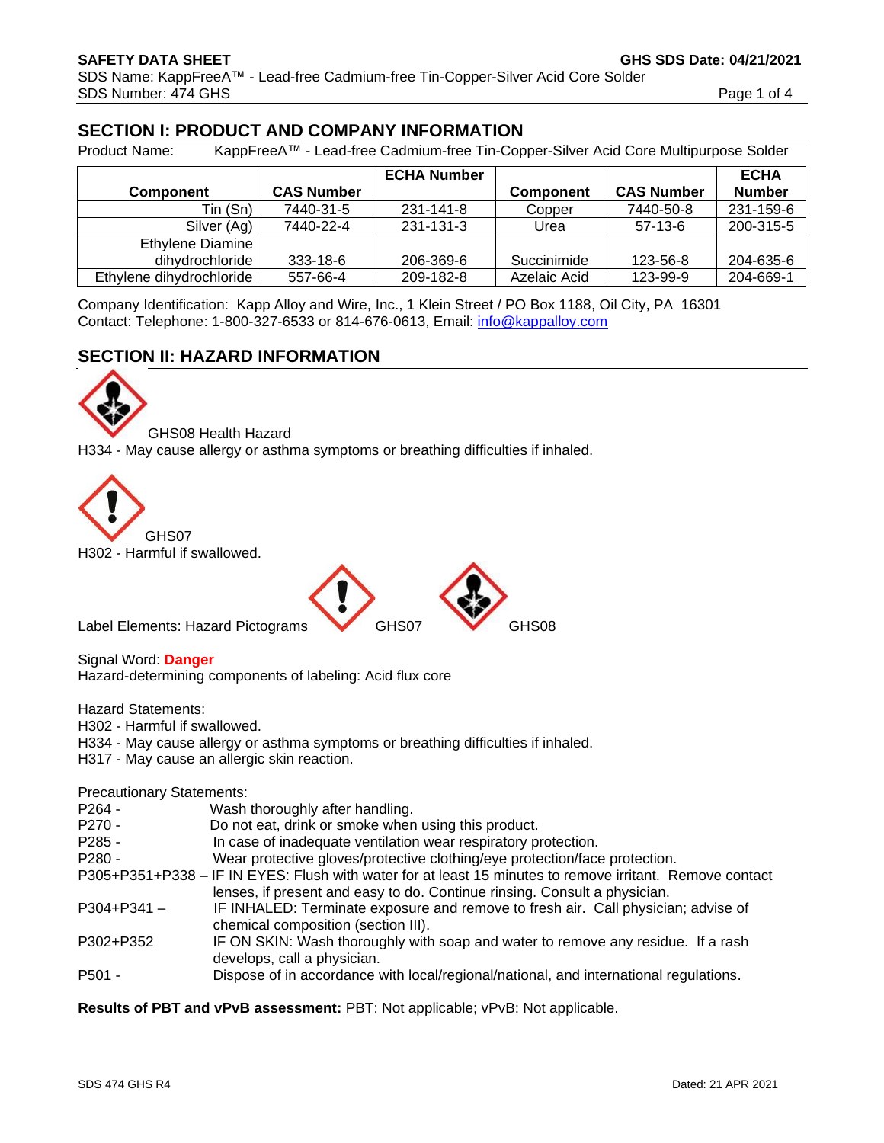# **SECTION I: PRODUCT AND COMPANY INFORMATION**

Product Name: KappFreeA™ - Lead-free Cadmium-free Tin-Copper-Silver Acid Core Multipurpose Solder

|                          |                   | <b>ECHA Number</b> |                  |                   | <b>ECHA</b>   |
|--------------------------|-------------------|--------------------|------------------|-------------------|---------------|
| <b>Component</b>         | <b>CAS Number</b> |                    | <b>Component</b> | <b>CAS Number</b> | <b>Number</b> |
| Tin (Sn)                 | 7440-31-5         | 231-141-8          | Copper           | 7440-50-8         | 231-159-6     |
| Silver (Ag)              | 7440-22-4         | 231-131-3          | Urea             | $57-13-6$         | 200-315-5     |
| Ethylene Diamine         |                   |                    |                  |                   |               |
| dihydrochloride          | 333-18-6          | 206-369-6          | Succinimide      | 123-56-8          | 204-635-6     |
| Ethylene dihydrochloride | 557-66-4          | 209-182-8          | Azelaic Acid     | 123-99-9          | 204-669-1     |

Company Identification: Kapp Alloy and Wire, Inc., 1 Klein Street / PO Box 1188, Oil City, PA 16301 Contact: Telephone: 1-800-327-6533 or 814-676-0613, Email: [info@kappalloy.com](mailto:info@kappalloy.com)

# **SECTION II: HAZARD INFORMATION**



GHS08 Health Hazard H334 - May cause allergy or asthma symptoms or breathing difficulties if inhaled.





Signal Word: **Danger** Hazard-determining components of labeling: Acid flux core

Hazard Statements:

H302 - Harmful if swallowed.

H334 - May cause allergy or asthma symptoms or breathing difficulties if inhaled.

H317 - May cause an allergic skin reaction.

Precautionary Statements:

| $P264 -$        | Wash thoroughly after handling.                                                                                                                                                       |
|-----------------|---------------------------------------------------------------------------------------------------------------------------------------------------------------------------------------|
| $P270 -$        | Do not eat, drink or smoke when using this product.                                                                                                                                   |
| $P285 -$        | In case of inadequate ventilation wear respiratory protection.                                                                                                                        |
| $P280 -$        | Wear protective gloves/protective clothing/eye protection/face protection.                                                                                                            |
|                 | P305+P351+P338 – IF IN EYES: Flush with water for at least 15 minutes to remove irritant. Remove contact<br>lenses, if present and easy to do. Continue rinsing. Consult a physician. |
| $P304 + P341 -$ | IF INHALED: Terminate exposure and remove to fresh air. Call physician; advise of<br>chemical composition (section III).                                                              |
| P302+P352       | IF ON SKIN: Wash thoroughly with soap and water to remove any residue. If a rash<br>develops, call a physician.                                                                       |
| P501 -          | Dispose of in accordance with local/regional/national, and international regulations.                                                                                                 |

**Results of PBT and vPvB assessment:** PBT: Not applicable; vPvB: Not applicable.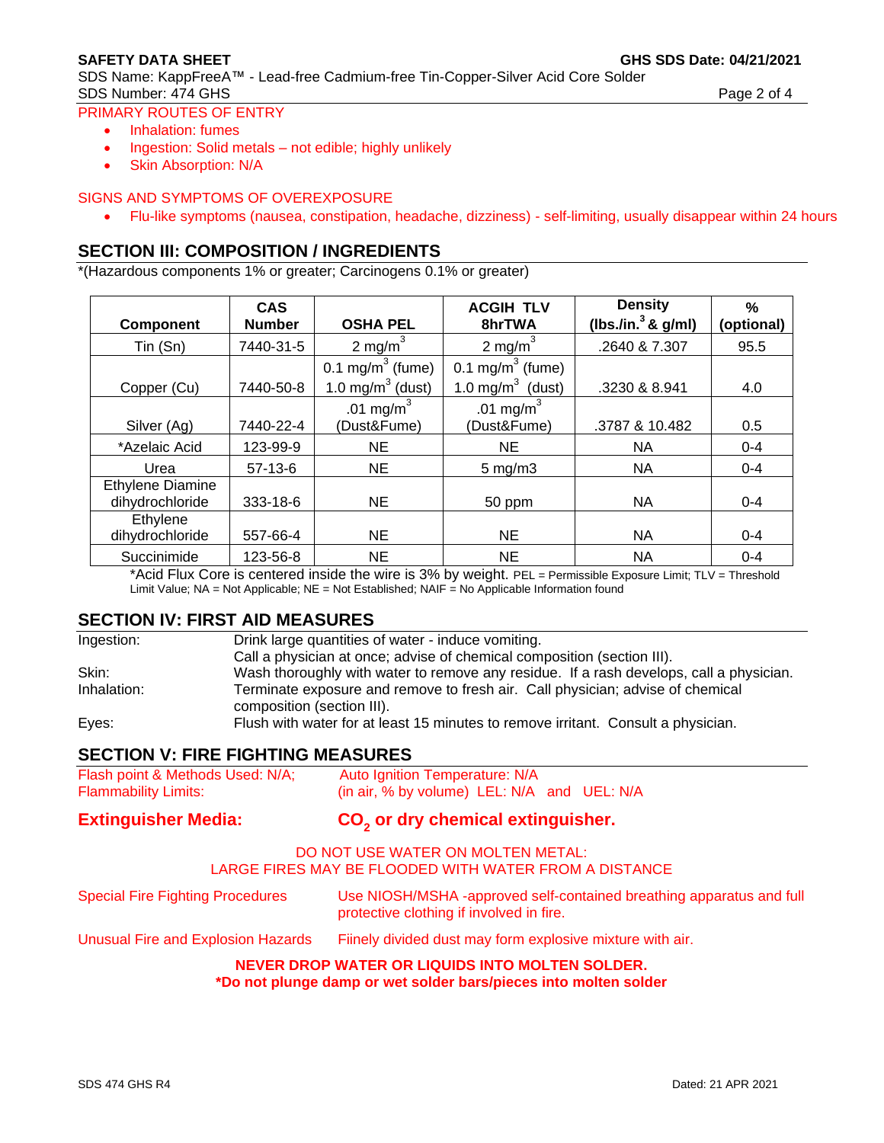SDS Name: KappFreeA™ - Lead-free Cadmium-free Tin-Copper-Silver Acid Core Solder SDS Number: 474 GHS Page 2 of 4

#### PRIMARY ROUTES OF ENTRY

- Inhalation: fumes
- Ingestion: Solid metals not edible; highly unlikely
- Skin Absorption: N/A

#### SIGNS AND SYMPTOMS OF OVEREXPOSURE

• Flu-like symptoms (nausea, constipation, headache, dizziness) - self-limiting, usually disappear within 24 hours

# **SECTION III: COMPOSITION / INGREDIENTS**

\*(Hazardous components 1% or greater; Carcinogens 0.1% or greater)

| <b>Component</b>                    | <b>ACGIH TLV</b><br><b>CAS</b><br><b>OSHA PEL</b><br>8hrTWA<br><b>Number</b> |                                                                                           |                             | <b>Density</b><br>(lbs./in. $3$ & g/ml) | %<br>(optional) |
|-------------------------------------|------------------------------------------------------------------------------|-------------------------------------------------------------------------------------------|-----------------------------|-----------------------------------------|-----------------|
| Tin (Sn)                            | 7440-31-5                                                                    | $2 \text{ mg/m}^3$                                                                        | 2 mg/m <sup>3</sup>         | .2640 & 7.307                           | 95.5            |
| Copper (Cu)                         | 7440-50-8                                                                    | 0.1 mg/m $3$ (fume)<br>0.1 mg/m $3$ (fume)<br>1.0 mg/ $m^3$ (dust)<br>1.0 mg/m $3$ (dust) |                             | .3230 & 8.941                           | 4.0             |
| Silver (Ag)                         | 7440-22-4                                                                    | .01 mg/m $3$<br>(Dust&Fume)                                                               | .01 mg/m $3$<br>(Dust&Fume) | .3787 & 10.482                          | 0.5             |
| *Azelaic Acid                       | 123-99-9                                                                     | <b>NE</b>                                                                                 | NE.                         | <b>NA</b>                               | $0 - 4$         |
| Urea                                | $57-13-6$                                                                    | <b>NE</b>                                                                                 | $5 \text{ mg/m}$ 3          | NA                                      | $0 - 4$         |
| Ethylene Diamine<br>dihydrochloride | 333-18-6                                                                     | <b>NE</b>                                                                                 | 50 ppm                      | NA                                      | $0 - 4$         |
| Ethylene<br>dihydrochloride         | 557-66-4                                                                     | <b>NE</b>                                                                                 | <b>NE</b>                   | NА                                      | $0 - 4$         |
| Succinimide                         | 123-56-8                                                                     | <b>NE</b>                                                                                 | NE                          | NA                                      | $0 - 4$         |

\*Acid Flux Core is centered inside the wire is 3% by weight. PEL = Permissible Exposure Limit; TLV = Threshold Limit Value; NA = Not Applicable; NE = Not Established; NAIF = No Applicable Information found

#### **SECTION IV: FIRST AID MEASURES**

| Ingestion:  | Drink large quantities of water - induce vomiting.                                                           |
|-------------|--------------------------------------------------------------------------------------------------------------|
|             | Call a physician at once; advise of chemical composition (section III).                                      |
| Skin:       | Wash thoroughly with water to remove any residue. If a rash develops, call a physician.                      |
| Inhalation: | Terminate exposure and remove to fresh air. Call physician; advise of chemical<br>composition (section III). |
| Eyes:       | Flush with water for at least 15 minutes to remove irritant. Consult a physician.                            |

## **SECTION V: FIRE FIGHTING MEASURES**

| Flash point & Methods Used: N/A; | Auto Ignition Temperature: N/A              |  |  |  |
|----------------------------------|---------------------------------------------|--|--|--|
| <b>Flammability Limits:</b>      | (in air, % by volume) LEL: N/A and UEL: N/A |  |  |  |

#### **Extinguisher Media:**

# **or dry chemical extinguisher.**

#### DO NOT USE WATER ON MOLTEN METAL: LARGE FIRES MAY BE FLOODED WITH WATER FROM A DISTANCE

| <b>Special Fire Fighting Procedures</b> | Use NIOSH/MSHA -approved self-contained breathing apparatus and full<br>protective clothing if involved in fire. |
|-----------------------------------------|------------------------------------------------------------------------------------------------------------------|
| Unusual Fire and Explosion Hazards      | Fiinely divided dust may form explosive mixture with air.                                                        |

# **NEVER DROP WATER OR LIQUIDS INTO MOLTEN SOLDER.**

**\*Do not plunge damp or wet solder bars/pieces into molten solder**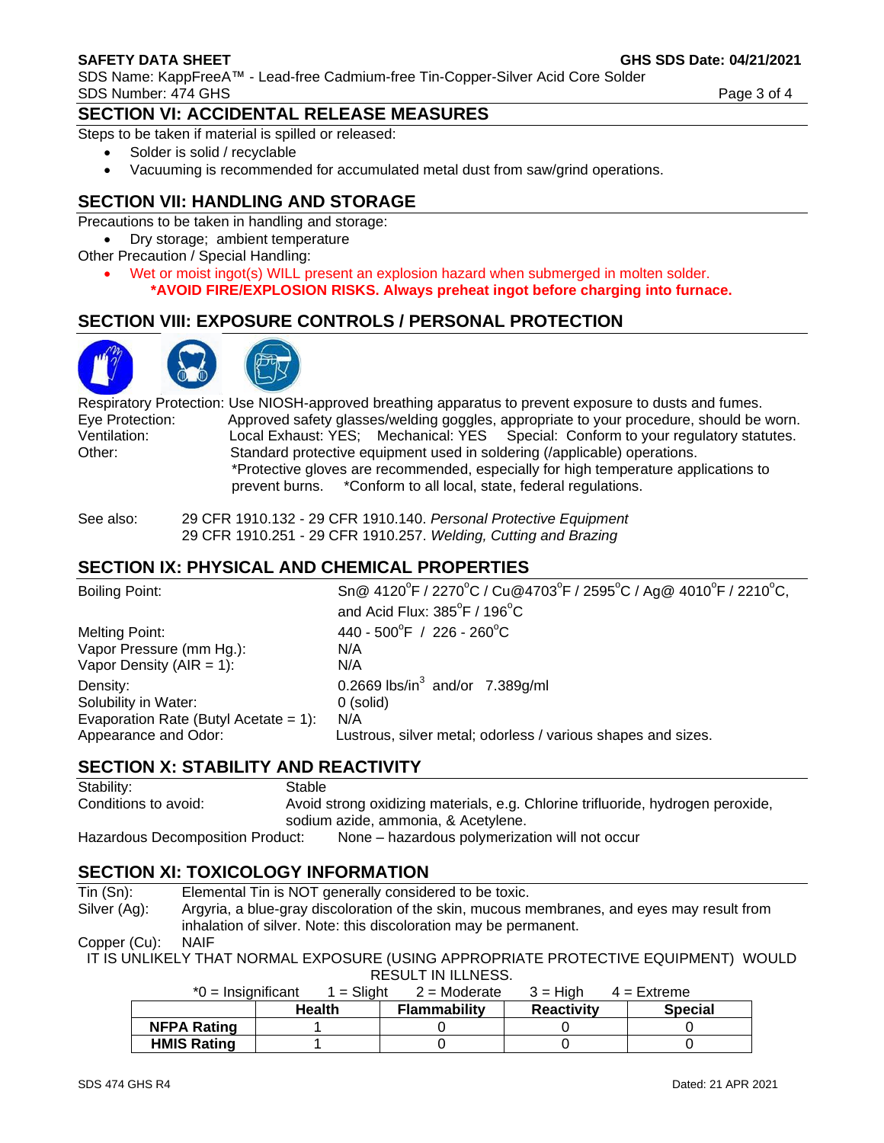#### **SAFETY DATA SHEET GHS SDS Date: 04/21/2021**

SDS Name: KappFreeA™ - Lead-free Cadmium-free Tin-Copper-Silver Acid Core Solder SDS Number: 474 GHS Page 3 of 4

#### **SECTION VI: ACCIDENTAL RELEASE MEASURES**

Steps to be taken if material is spilled or released:

- Solder is solid / recyclable
- Vacuuming is recommended for accumulated metal dust from saw/grind operations.

## **SECTION VII: HANDLING AND STORAGE**

Precautions to be taken in handling and storage:

• Dry storage; ambient temperature

- Other Precaution / Special Handling:
	- Wet or moist ingot(s) WILL present an explosion hazard when submerged in molten solder. **\*AVOID FIRE/EXPLOSION RISKS. Always preheat ingot before charging into furnace.**

# **SECTION VIII: EXPOSURE CONTROLS / PERSONAL PROTECTION**



Respiratory Protection: Use NIOSH-approved breathing apparatus to prevent exposure to dusts and fumes. Eye Protection: Approved safety glasses/welding goggles, appropriate to your procedure, should be worn. Ventilation: Local Exhaust: YES; Mechanical: YES Special: Conform to your regulatory statutes. Other: Standard protective equipment used in soldering (/applicable) operations. \*Protective gloves are recommended, especially for high temperature applications to prevent burns. \*Conform to all local, state, federal regulations.

See also: 29 CFR 1910.132 - 29 CFR 1910.140. *Personal Protective Equipment* 29 CFR 1910.251 - 29 CFR 1910.257. *Welding, Cutting and Brazing*

#### **SECTION IX: PHYSICAL AND CHEMICAL PROPERTIES**

| <b>Boiling Point:</b>                    | Sn@ 4120°F / 2270°C / Cu@4703°F / 2595°C / Ag@ 4010°F / 2210°C,<br>and Acid Flux: $385^{\circ}$ F / 196 $^{\circ}$ C |
|------------------------------------------|----------------------------------------------------------------------------------------------------------------------|
| Melting Point:                           | 440 - 500°F / 226 - 260°C                                                                                            |
| Vapor Pressure (mm Hg.):                 | N/A                                                                                                                  |
| Vapor Density ( $AIR = 1$ ):             | N/A                                                                                                                  |
| Density:                                 | 0.2669 lbs/in <sup>3</sup> and/or 7.389g/ml                                                                          |
| Solubility in Water:                     | $0$ (solid)                                                                                                          |
| Evaporation Rate (Butyl Acetate = $1$ ): | N/A                                                                                                                  |
| Appearance and Odor:                     | Lustrous, silver metal; odorless / various shapes and sizes.                                                         |

#### **SECTION X: STABILITY AND REACTIVITY**

| Stability:                       | Stable                                                                          |                                                |  |
|----------------------------------|---------------------------------------------------------------------------------|------------------------------------------------|--|
| Conditions to avoid:             | Avoid strong oxidizing materials, e.g. Chlorine trifluoride, hydrogen peroxide, |                                                |  |
|                                  |                                                                                 | sodium azide, ammonia, & Acetylene.            |  |
| Hazardous Decomposition Product: |                                                                                 | None – hazardous polymerization will not occur |  |

#### **SECTION XI: TOXICOLOGY INFORMATION**

| Tin (Sn):    | Elemental Tin is NOT generally considered to be toxic.                                     |
|--------------|--------------------------------------------------------------------------------------------|
| Silver (Ag): | Argyria, a blue-gray discoloration of the skin, mucous membranes, and eyes may result from |
|              | inhalation of silver. Note: this discoloration may be permanent.                           |

Copper (Cu): NAIF

IT IS UNLIKELY THAT NORMAL EXPOSURE (USING APPROPRIATE PROTECTIVE EQUIPMENT) WOULD RESULT IN ILLNESS.

| $*0 =$ Insignificant | $1 =$ Slight  | $2$ = Moderate      | $3 = H$ iah       | $4 =$ Extreme  |
|----------------------|---------------|---------------------|-------------------|----------------|
|                      | <b>Health</b> | <b>Flammability</b> | <b>Reactivity</b> | <b>Special</b> |
| <b>NFPA Rating</b>   |               |                     |                   |                |
| <b>HMIS Rating</b>   |               |                     |                   |                |